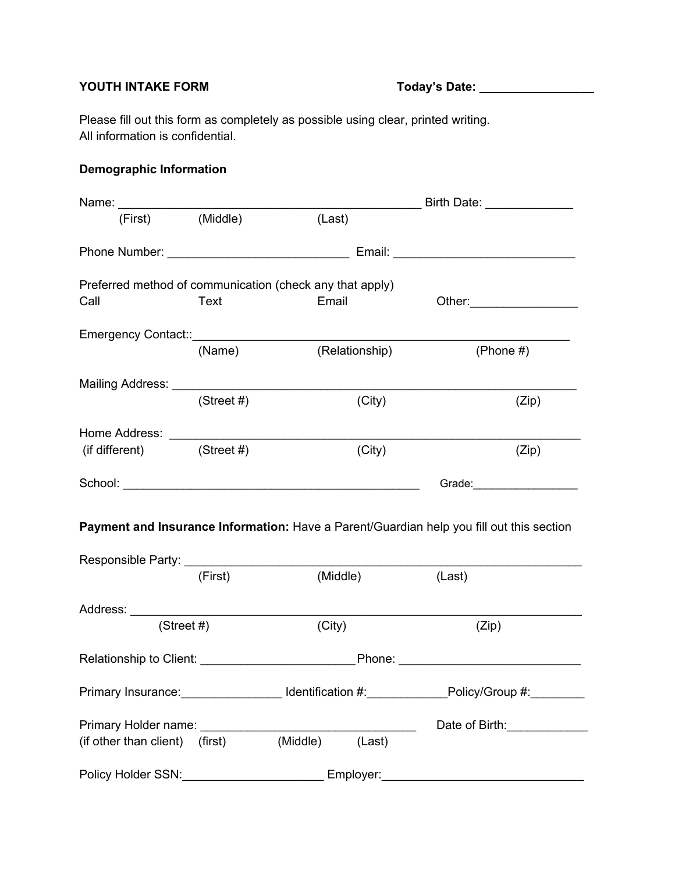# **YOUTH INTAKE FORM Today's Date: \_\_\_\_\_\_\_\_\_\_\_\_\_\_\_\_\_**

Please fill out this form as completely as possible using clear, printed writing. All information is confidential.

## **Demographic Information**

|                                   |                                                          |                | Birth Date: ______________                                                                                                                                                                                                     |  |  |
|-----------------------------------|----------------------------------------------------------|----------------|--------------------------------------------------------------------------------------------------------------------------------------------------------------------------------------------------------------------------------|--|--|
| (First)                           | (Middle)                                                 | (Last)         |                                                                                                                                                                                                                                |  |  |
|                                   |                                                          |                |                                                                                                                                                                                                                                |  |  |
|                                   | Preferred method of communication (check any that apply) |                |                                                                                                                                                                                                                                |  |  |
| Call                              | Text                                                     | Email          | Other: _________________                                                                                                                                                                                                       |  |  |
|                                   |                                                          |                |                                                                                                                                                                                                                                |  |  |
|                                   | (Name)                                                   | (Relationship) | (Phone $#$ )                                                                                                                                                                                                                   |  |  |
| Mailing Address: Mailing Address: |                                                          |                |                                                                                                                                                                                                                                |  |  |
|                                   | (Street #)                                               | (City)         | (Zip)                                                                                                                                                                                                                          |  |  |
| Home Address: _______________     |                                                          |                |                                                                                                                                                                                                                                |  |  |
| $(if different)$ (Street #)       |                                                          | (City)         | (Zip)                                                                                                                                                                                                                          |  |  |
|                                   |                                                          |                | Grade: The Contract of the Contract of the Contract of the Contract of the Contract of the Contract of the Contract of the Contract of the Contract of the Contract of the Contract of the Contract of the Contract of the Con |  |  |

**Payment and Insurance Information:** Have a Parent/Guardian help you fill out this section

| (First)                                                                                                                                                                                                                       | (Middle) |        | (Last)                                           |
|-------------------------------------------------------------------------------------------------------------------------------------------------------------------------------------------------------------------------------|----------|--------|--------------------------------------------------|
| Address: ___________________________                                                                                                                                                                                          |          |        |                                                  |
| (Street #)                                                                                                                                                                                                                    | (City)   |        | (Zip)                                            |
|                                                                                                                                                                                                                               |          |        |                                                  |
| Primary Insurance: Internal Multimediate and Multimediate and Multimediate and Multimediate Dental Multimediate D                                                                                                             |          |        |                                                  |
| Primary Holder name: Name and Allen and Allen and Allen and Allen and Allen and Allen and Allen and Allen and A                                                                                                               |          |        | Date of Birth:                                   |
| (if other than client) (first)                                                                                                                                                                                                | (Middle) | (Last) |                                                  |
| Policy Holder SSN: Note and South Article and South Article and South Article and Article and Article and Article and Article and Article and Article and Article and Article and Article and Article and Article and Article |          |        | Employer: North Commission Commission Commission |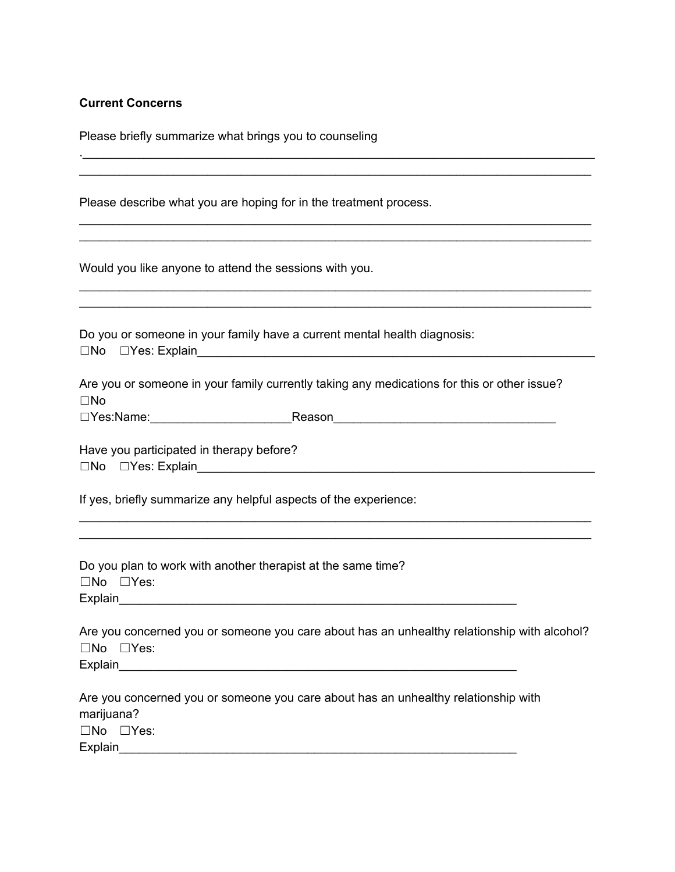#### **Current Concerns**

☐No ☐Yes: Explain\_\_\_\_\_\_\_\_\_\_\_\_\_\_\_\_\_\_\_\_\_\_\_\_\_\_\_\_\_\_\_\_\_\_\_\_\_\_\_\_\_\_\_\_\_\_\_\_\_\_\_\_\_\_\_\_\_\_\_

| Please briefly summarize what brings you to counseling |  |  |  |  |
|--------------------------------------------------------|--|--|--|--|
|--------------------------------------------------------|--|--|--|--|

Please describe what you are hoping for in the treatment process.

Would you like anyone to attend the sessions with you.

Do you or someone in your family have a current mental health diagnosis:

|  |  | Assessed as aggregated in value family augustive taking any modical |  |
|--|--|---------------------------------------------------------------------|--|

Are you or someone in your family currently taking any medications for this or other issue? ☐No

.\_\_\_\_\_\_\_\_\_\_\_\_\_\_\_\_\_\_\_\_\_\_\_\_\_\_\_\_\_\_\_\_\_\_\_\_\_\_\_\_\_\_\_\_\_\_\_\_\_\_\_\_\_\_\_\_\_\_\_\_\_\_\_\_\_\_\_\_\_\_\_\_\_\_\_\_ \_\_\_\_\_\_\_\_\_\_\_\_\_\_\_\_\_\_\_\_\_\_\_\_\_\_\_\_\_\_\_\_\_\_\_\_\_\_\_\_\_\_\_\_\_\_\_\_\_\_\_\_\_\_\_\_\_\_\_\_\_\_\_\_\_\_\_\_\_\_\_\_\_\_\_\_

\_\_\_\_\_\_\_\_\_\_\_\_\_\_\_\_\_\_\_\_\_\_\_\_\_\_\_\_\_\_\_\_\_\_\_\_\_\_\_\_\_\_\_\_\_\_\_\_\_\_\_\_\_\_\_\_\_\_\_\_\_\_\_\_\_\_\_\_\_\_\_\_\_\_\_\_ \_\_\_\_\_\_\_\_\_\_\_\_\_\_\_\_\_\_\_\_\_\_\_\_\_\_\_\_\_\_\_\_\_\_\_\_\_\_\_\_\_\_\_\_\_\_\_\_\_\_\_\_\_\_\_\_\_\_\_\_\_\_\_\_\_\_\_\_\_\_\_\_\_\_\_\_

\_\_\_\_\_\_\_\_\_\_\_\_\_\_\_\_\_\_\_\_\_\_\_\_\_\_\_\_\_\_\_\_\_\_\_\_\_\_\_\_\_\_\_\_\_\_\_\_\_\_\_\_\_\_\_\_\_\_\_\_\_\_\_\_\_\_\_\_\_\_\_\_\_\_\_\_

 $\_$ 

| $\Box$ Yes:Name: | Reason |  |
|------------------|--------|--|
|                  |        |  |

Have you participated in therapy before? ☐No ☐Yes: Explain\_\_\_\_\_\_\_\_\_\_\_\_\_\_\_\_\_\_\_\_\_\_\_\_\_\_\_\_\_\_\_\_\_\_\_\_\_\_\_\_\_\_\_\_\_\_\_\_\_\_\_\_\_\_\_\_\_\_\_

If yes, briefly summarize any helpful aspects of the experience:

|                             | Do you plan to work with another therapist at the same time? |
|-----------------------------|--------------------------------------------------------------|
| $\square$ No $\square$ Yes: |                                                              |
| Explain                     |                                                              |

Are you concerned you or someone you care about has an unhealthy relationship with alcohol? ☐No ☐Yes: Explain\_\_\_\_\_\_\_\_\_\_\_\_\_\_\_\_\_\_\_\_\_\_\_\_\_\_\_\_\_\_\_\_\_\_\_\_\_\_\_\_\_\_\_\_\_\_\_\_\_\_\_\_\_\_\_\_\_\_\_

\_\_\_\_\_\_\_\_\_\_\_\_\_\_\_\_\_\_\_\_\_\_\_\_\_\_\_\_\_\_\_\_\_\_\_\_\_\_\_\_\_\_\_\_\_\_\_\_\_\_\_\_\_\_\_\_\_\_\_\_\_\_\_\_\_\_\_\_\_\_\_\_\_\_\_\_ \_\_\_\_\_\_\_\_\_\_\_\_\_\_\_\_\_\_\_\_\_\_\_\_\_\_\_\_\_\_\_\_\_\_\_\_\_\_\_\_\_\_\_\_\_\_\_\_\_\_\_\_\_\_\_\_\_\_\_\_\_\_\_\_\_\_\_\_\_\_\_\_\_\_\_\_

Are you concerned you or someone you care about has an unhealthy relationship with marijuana? ☐No ☐Yes: Explain\_\_\_\_\_\_\_\_\_\_\_\_\_\_\_\_\_\_\_\_\_\_\_\_\_\_\_\_\_\_\_\_\_\_\_\_\_\_\_\_\_\_\_\_\_\_\_\_\_\_\_\_\_\_\_\_\_\_\_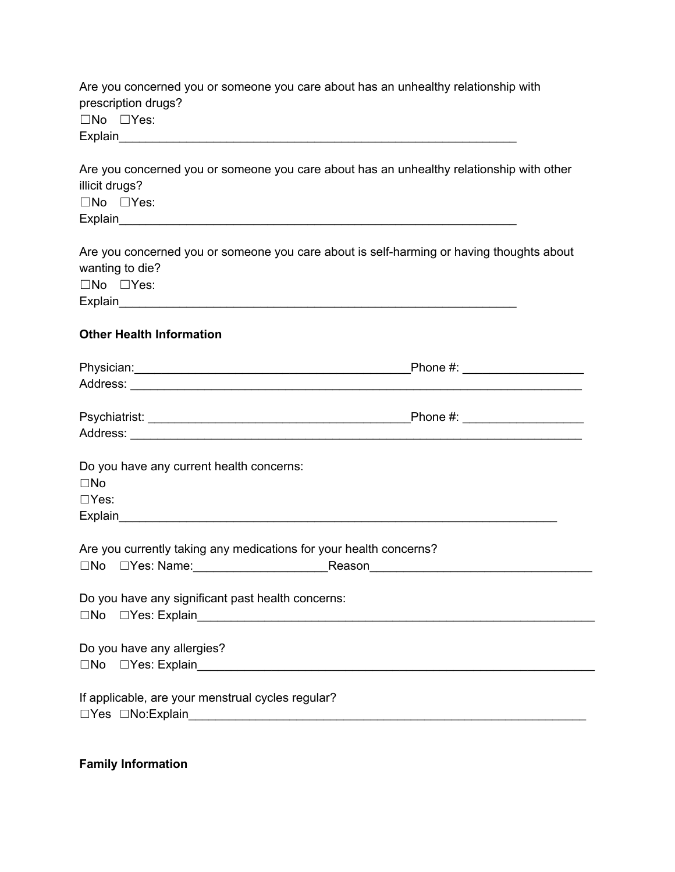Are you concerned you or someone you care about has an unhealthy relationship with prescription drugs? ☐No ☐Yes: Explain\_\_\_\_\_\_\_\_\_\_\_\_\_\_\_\_\_\_\_\_\_\_\_\_\_\_\_\_\_\_\_\_\_\_\_\_\_\_\_\_\_\_\_\_\_\_\_\_\_\_\_\_\_\_\_\_\_\_\_

Are you concerned you or someone you care about has an unhealthy relationship with other illicit drugs? ☐No ☐Yes: Explain\_\_\_\_\_\_\_\_\_\_\_\_\_\_\_\_\_\_\_\_\_\_\_\_\_\_\_\_\_\_\_\_\_\_\_\_\_\_\_\_\_\_\_\_\_\_\_\_\_\_\_\_\_\_\_\_\_\_\_

Are you concerned you or someone you care about is self-harming or having thoughts about wanting to die? ☐No ☐Yes: Explain\_\_\_\_\_\_\_\_\_\_\_\_\_\_\_\_\_\_\_\_\_\_\_\_\_\_\_\_\_\_\_\_\_\_\_\_\_\_\_\_\_\_\_\_\_\_\_\_\_\_\_\_\_\_\_\_\_\_\_

### **Other Health Information**

|                                                                    | _Phone #: _____________________ |
|--------------------------------------------------------------------|---------------------------------|
|                                                                    |                                 |
|                                                                    |                                 |
| Do you have any current health concerns:<br>$\square$ No           |                                 |
| $\Box$ Yes:                                                        |                                 |
|                                                                    |                                 |
| Are you currently taking any medications for your health concerns? |                                 |
| Do you have any significant past health concerns:                  |                                 |
| Do you have any allergies?                                         |                                 |
| If applicable, are your menstrual cycles regular?                  |                                 |

#### **Family Information**